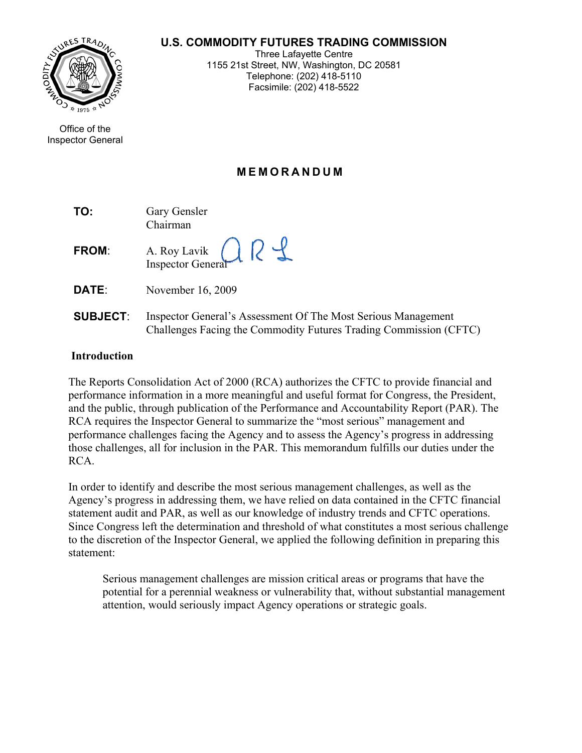#### **U.S. COMMODITY FUTURES TRADING COMMISSION**



Office of the Inspector General

Three Lafayette Centre 1155 21st Street, NW, Washington, DC 20581 Telephone: (202) 418-5110 Facsimile: (202) 418-5522

# **MEMORANDUM**

 $\overline{\phantom{a}}$ 

| TO: | Gary Gensler |
|-----|--------------|
|     | Chairman     |

| <b>FROM:</b> | A. Roy Lavik R |  |
|--------------|----------------|--|
|              |                |  |

**DATE**: November 16, 2009

**SUBJECT**: Inspector General's Assessment Of The Most Serious Management Challenges Facing the Commodity Futures Trading Commission (CFTC)

#### **Introduction**

The Reports Consolidation Act of 2000 (RCA) authorizes the CFTC to provide financial and performance information in a more meaningful and useful format for Congress, the President, and the public, through publication of the Performance and Accountability Report (PAR). The RCA requires the Inspector General to summarize the "most serious" management and performance challenges facing the Agency and to assess the Agency's progress in addressing those challenges, all for inclusion in the PAR. This memorandum fulfills our duties under the RCA.

In order to identify and describe the most serious management challenges, as well as the Agency's progress in addressing them, we have relied on data contained in the CFTC financial statement audit and PAR, as well as our knowledge of industry trends and CFTC operations. Since Congress left the determination and threshold of what constitutes a most serious challenge to the discretion of the Inspector General, we applied the following definition in preparing this statement:

Serious management challenges are mission critical areas or programs that have the potential for a perennial weakness or vulnerability that, without substantial management attention, would seriously impact Agency operations or strategic goals.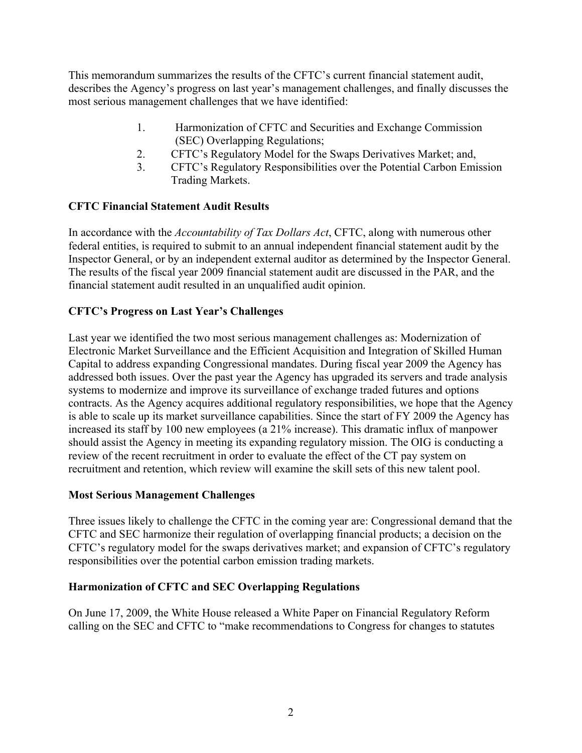This memorandum summarizes the results of the CFTC's current financial statement audit, describes the Agency's progress on last year's management challenges, and finally discusses the most serious management challenges that we have identified:

- 1. Harmonization of CFTC and Securities and Exchange Commission (SEC) Overlapping Regulations;
- 2. CFTC's Regulatory Model for the Swaps Derivatives Market; and,
- 3. CFTC's Regulatory Responsibilities over the Potential Carbon Emission Trading Markets.

## **CFTC Financial Statement Audit Results**

In accordance with the *Accountability of Tax Dollars Act*, CFTC, along with numerous other federal entities, is required to submit to an annual independent financial statement audit by the Inspector General, or by an independent external auditor as determined by the Inspector General. The results of the fiscal year 2009 financial statement audit are discussed in the PAR, and the financial statement audit resulted in an unqualified audit opinion.

## **CFTC's Progress on Last Year's Challenges**

Last year we identified the two most serious management challenges as: Modernization of Electronic Market Surveillance and the Efficient Acquisition and Integration of Skilled Human Capital to address expanding Congressional mandates. During fiscal year 2009 the Agency has addressed both issues. Over the past year the Agency has upgraded its servers and trade analysis systems to modernize and improve its surveillance of exchange traded futures and options contracts. As the Agency acquires additional regulatory responsibilities, we hope that the Agency is able to scale up its market surveillance capabilities. Since the start of FY 2009 the Agency has increased its staff by 100 new employees (a 21% increase). This dramatic influx of manpower should assist the Agency in meeting its expanding regulatory mission. The OIG is conducting a review of the recent recruitment in order to evaluate the effect of the CT pay system on recruitment and retention, which review will examine the skill sets of this new talent pool.

#### **Most Serious Management Challenges**

Three issues likely to challenge the CFTC in the coming year are: Congressional demand that the CFTC and SEC harmonize their regulation of overlapping financial products; a decision on the CFTC's regulatory model for the swaps derivatives market; and expansion of CFTC's regulatory responsibilities over the potential carbon emission trading markets.

#### **Harmonization of CFTC and SEC Overlapping Regulations**

On June 17, 2009, the White House released a White Paper on Financial Regulatory Reform calling on the SEC and CFTC to "make recommendations to Congress for changes to statutes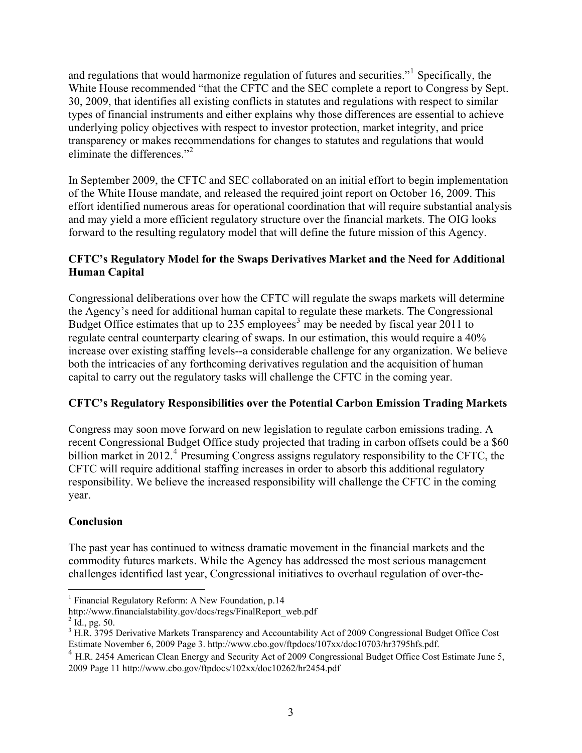and regulations that would harmonize regulation of futures and securities."<sup>[1](#page-2-0)</sup> Specifically, the White House recommended "that the CFTC and the SEC complete a report to Congress by Sept. 30, 2009, that identifies all existing conflicts in statutes and regulations with respect to similar types of financial instruments and either explains why those differences are essential to achieve underlying policy objectives with respect to investor protection, market integrity, and price transparency or makes recommendations for changes to statutes and regulations that would eliminate the differences."[2](#page-2-1)

In September 2009, the CFTC and SEC collaborated on an initial effort to begin implementation of the White House mandate, and released the required joint report on October 16, 2009. This effort identified numerous areas for operational coordination that will require substantial analysis and may yield a more efficient regulatory structure over the financial markets. The OIG looks forward to the resulting regulatory model that will define the future mission of this Agency.

## **CFTC's Regulatory Model for the Swaps Derivatives Market and the Need for Additional Human Capital**

Congressional deliberations over how the CFTC will regulate the swaps markets will determine the Agency's need for additional human capital to regulate these markets. The Congressional Budget Office estimates that up to 2[3](#page-2-2)5 employees<sup>3</sup> may be needed by fiscal year 2011 to regulate central counterparty clearing of swaps. In our estimation, this would require a 40% increase over existing staffing levels--a considerable challenge for any organization. We believe both the intricacies of any forthcoming derivatives regulation and the acquisition of human capital to carry out the regulatory tasks will challenge the CFTC in the coming year.

## **CFTC's Regulatory Responsibilities over the Potential Carbon Emission Trading Markets**

Congress may soon move forward on new legislation to regulate carbon emissions trading. A recent Congressional Budget Office study projected that trading in carbon offsets could be a \$60 billion market in 2012.<sup>[4](#page-2-3)</sup> Presuming Congress assigns regulatory responsibility to the CFTC, the CFTC will require additional staffing increases in order to absorb this additional regulatory responsibility. We believe the increased responsibility will challenge the CFTC in the coming year.

#### **Conclusion**

The past year has continued to witness dramatic movement in the financial markets and the commodity futures markets. While the Agency has addressed the most serious management challenges identified last year, Congressional initiatives to overhaul regulation of over-the-

<sup>&</sup>lt;sup>1</sup> Financial Regulatory Reform: A New Foundation, p.14

<span id="page-2-0"></span>http://www.financialstability.gov/docs/regs/FinalReport\_web.pdf

<span id="page-2-1"></span> $^{2}$  Id., pg. 50.

<span id="page-2-2"></span><sup>&</sup>lt;sup>3</sup> H.R. 3795 Derivative Markets Transparency and Accountability Act of 2009 Congressional Budget Office Cost Estimate November 6, 2009 Page 3. http://www.cbo.gov/ftpdocs/107xx/doc10703/hr3795hfs.pdf.

<span id="page-2-3"></span><sup>4</sup> H.R. 2454 American Clean Energy and Security Act of 2009 Congressional Budget Office Cost Estimate June 5, 2009 Page 11 http://www.cbo.gov/ftpdocs/102xx/doc10262/hr2454.pdf